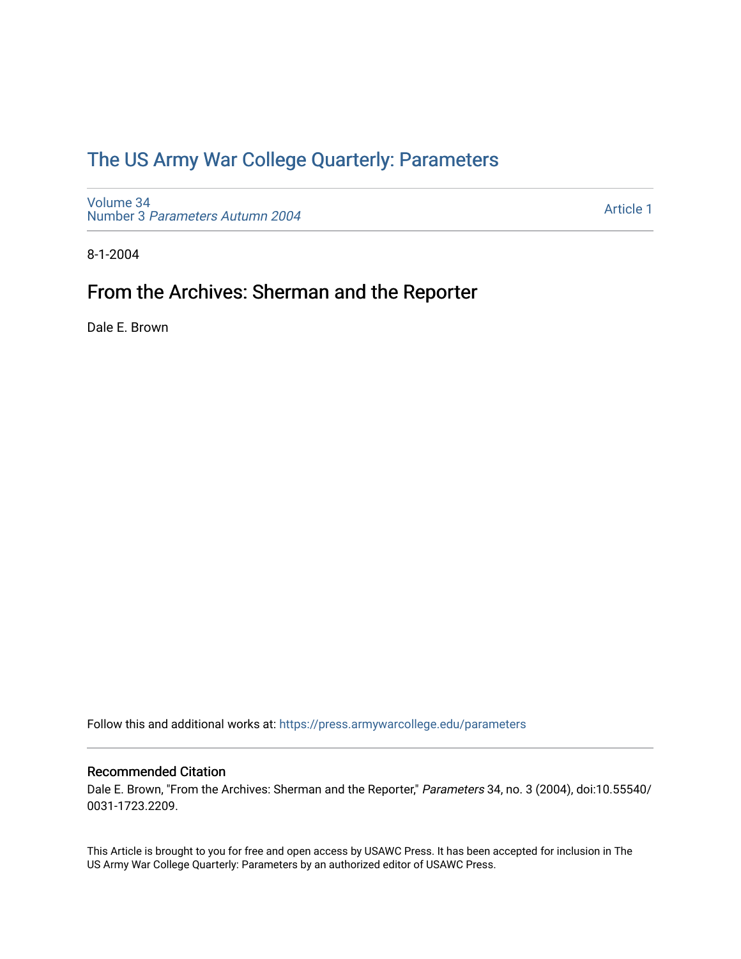## [The US Army War College Quarterly: Parameters](https://press.armywarcollege.edu/parameters)

[Volume 34](https://press.armywarcollege.edu/parameters/vol34) Number 3 [Parameters Autumn 2004](https://press.armywarcollege.edu/parameters/vol34/iss3)

[Article 1](https://press.armywarcollege.edu/parameters/vol34/iss3/1) 

8-1-2004

# From the Archives: Sherman and the Reporter

Dale E. Brown

Follow this and additional works at: [https://press.armywarcollege.edu/parameters](https://press.armywarcollege.edu/parameters?utm_source=press.armywarcollege.edu%2Fparameters%2Fvol34%2Fiss3%2F1&utm_medium=PDF&utm_campaign=PDFCoverPages) 

#### Recommended Citation

Dale E. Brown, "From the Archives: Sherman and the Reporter," Parameters 34, no. 3 (2004), doi:10.55540/ 0031-1723.2209.

This Article is brought to you for free and open access by USAWC Press. It has been accepted for inclusion in The US Army War College Quarterly: Parameters by an authorized editor of USAWC Press.